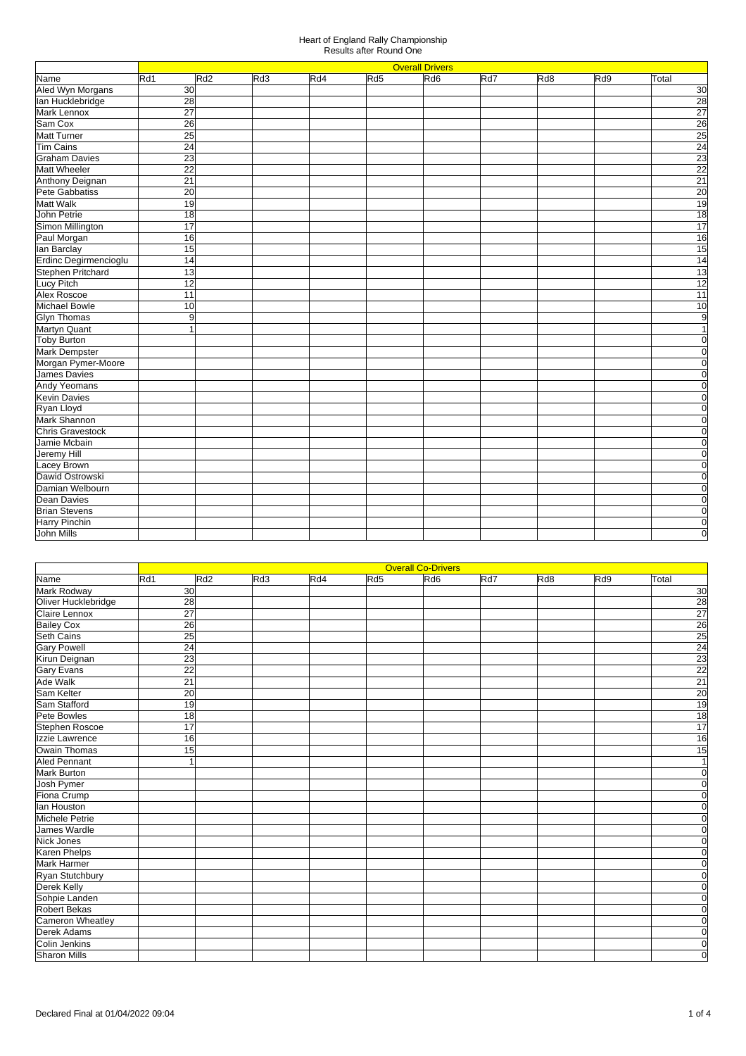|                          |                 |     |     |     | <b>Overall Drivers</b> |     |     |     |     |                 |
|--------------------------|-----------------|-----|-----|-----|------------------------|-----|-----|-----|-----|-----------------|
| Name                     | Rd1             | Rd2 | Rd3 | Rd4 | Rd5                    | Rd6 | Rd7 | Rd8 | Rd9 | Total           |
| Aled Wyn Morgans         | 30              |     |     |     |                        |     |     |     |     | 30              |
| lan Hucklebridge         | 28              |     |     |     |                        |     |     |     |     | $\overline{28}$ |
| Mark Lennox              | $\overline{27}$ |     |     |     |                        |     |     |     |     | $\overline{27}$ |
| Sam Cox                  | $\overline{26}$ |     |     |     |                        |     |     |     |     | $\overline{26}$ |
| <b>Matt Turner</b>       | 25              |     |     |     |                        |     |     |     |     | 25              |
| <b>Tim Cains</b>         | $\overline{24}$ |     |     |     |                        |     |     |     |     | $\overline{24}$ |
| <b>Graham Davies</b>     | $\overline{23}$ |     |     |     |                        |     |     |     |     | $\overline{23}$ |
| <b>Matt Wheeler</b>      | $\overline{22}$ |     |     |     |                        |     |     |     |     | $\overline{22}$ |
| Anthony Deignan          | $\overline{21}$ |     |     |     |                        |     |     |     |     | $\overline{21}$ |
| Pete Gabbatiss           | $\overline{20}$ |     |     |     |                        |     |     |     |     | $\overline{20}$ |
| <b>Matt Walk</b>         | 19              |     |     |     |                        |     |     |     |     | $\overline{19}$ |
| <b>John Petrie</b>       | 18              |     |     |     |                        |     |     |     |     | $\overline{18}$ |
| Simon Millington         | 17              |     |     |     |                        |     |     |     |     | $\overline{17}$ |
| Paul Morgan              | 16              |     |     |     |                        |     |     |     |     | 16              |
| lan Barclay              | 15              |     |     |     |                        |     |     |     |     | 15              |
| Erdinc Degirmencioglu    | 14              |     |     |     |                        |     |     |     |     | $\overline{14}$ |
| <b>Stephen Pritchard</b> | 13              |     |     |     |                        |     |     |     |     | $\overline{13}$ |
| Lucy Pitch               | $\overline{12}$ |     |     |     |                        |     |     |     |     | $\overline{12}$ |
| <b>Alex Roscoe</b>       | 11              |     |     |     |                        |     |     |     |     | 11              |
| <b>Michael Bowle</b>     | 10              |     |     |     |                        |     |     |     |     | 10              |
| <b>Glyn Thomas</b>       | 9               |     |     |     |                        |     |     |     |     | $\overline{9}$  |
| Martyn Quant             | $\overline{1}$  |     |     |     |                        |     |     |     |     | $\overline{1}$  |
| <b>Toby Burton</b>       |                 |     |     |     |                        |     |     |     |     | $\overline{0}$  |
| Mark Dempster            |                 |     |     |     |                        |     |     |     |     | 0               |
| Morgan Pymer-Moore       |                 |     |     |     |                        |     |     |     |     | 0               |
| <b>James Davies</b>      |                 |     |     |     |                        |     |     |     |     | 이               |
| Andy Yeomans             |                 |     |     |     |                        |     |     |     |     | $\overline{0}$  |
| <b>Kevin Davies</b>      |                 |     |     |     |                        |     |     |     |     | $\overline{0}$  |
| Ryan Lloyd               |                 |     |     |     |                        |     |     |     |     | 0               |
| Mark Shannon             |                 |     |     |     |                        |     |     |     |     | 0               |
| <b>Chris Gravestock</b>  |                 |     |     |     |                        |     |     |     |     | $\overline{0}$  |
| Jamie Mcbain             |                 |     |     |     |                        |     |     |     |     | $\overline{0}$  |
| Jeremy Hill              |                 |     |     |     |                        |     |     |     |     | $\mathbf 0$     |
| Lacey Brown              |                 |     |     |     |                        |     |     |     |     | $\overline{0}$  |
| Dawid Ostrowski          |                 |     |     |     |                        |     |     |     |     | $\overline{0}$  |
| Damian Welbourn          |                 |     |     |     |                        |     |     |     |     | $\overline{0}$  |
| <b>Dean Davies</b>       |                 |     |     |     |                        |     |     |     |     | $\overline{0}$  |
| <b>Brian Stevens</b>     |                 |     |     |     |                        |     |     |     |     | 0               |
| <b>Harry Pinchin</b>     |                 |     |     |     |                        |     |     |     |     | $\overline{0}$  |
| John Mills               |                 |     |     |     |                        |     |     |     |     | $\Omega$        |

|                     |                 |     |     |     |                 | <b>Overall Co-Drivers</b> |     |     |     |                           |
|---------------------|-----------------|-----|-----|-----|-----------------|---------------------------|-----|-----|-----|---------------------------|
| Name                | Rd1             | Rd2 | Rd3 | Rd4 | Rd <sub>5</sub> | Rd <sub>6</sub>           | Rd7 | Rd8 | Rd9 | Total                     |
| Mark Rodway         | 30              |     |     |     |                 |                           |     |     |     | $\frac{30}{28}$           |
| Oliver Hucklebridge | $\overline{28}$ |     |     |     |                 |                           |     |     |     |                           |
| Claire Lennox       | 27              |     |     |     |                 |                           |     |     |     | $\overline{27}$           |
| <b>Bailey Cox</b>   | 26              |     |     |     |                 |                           |     |     |     | 26                        |
| Seth Cains          | $\overline{25}$ |     |     |     |                 |                           |     |     |     | $\frac{25}{21}$           |
| <b>Gary Powell</b>  | $\overline{24}$ |     |     |     |                 |                           |     |     |     |                           |
| Kirun Deignan       | $\overline{23}$ |     |     |     |                 |                           |     |     |     |                           |
| <b>Gary Evans</b>   | 22              |     |     |     |                 |                           |     |     |     |                           |
| <b>Ade Walk</b>     | $\overline{21}$ |     |     |     |                 |                           |     |     |     |                           |
| Sam Kelter          | $\overline{20}$ |     |     |     |                 |                           |     |     |     |                           |
| Sam Stafford        | 19              |     |     |     |                 |                           |     |     |     | 19                        |
| Pete Bowles         | 18              |     |     |     |                 |                           |     |     |     | $\overline{18}$           |
| Stephen Roscoe      | $\overline{17}$ |     |     |     |                 |                           |     |     |     | 17                        |
| Izzie Lawrence      | 16              |     |     |     |                 |                           |     |     |     | $\overline{16}$           |
| Owain Thomas        | 15              |     |     |     |                 |                           |     |     |     | $\frac{15}{1}$            |
| <b>Aled Pennant</b> | $\mathbf{1}$    |     |     |     |                 |                           |     |     |     |                           |
| <b>Mark Burton</b>  |                 |     |     |     |                 |                           |     |     |     | $\overline{0}$            |
| Josh Pymer          |                 |     |     |     |                 |                           |     |     |     | $\mathbf 0$               |
| Fiona Crump         |                 |     |     |     |                 |                           |     |     |     | $\overline{0}$            |
| lan Houston         |                 |     |     |     |                 |                           |     |     |     | $\overline{0}$            |
| Michele Petrie      |                 |     |     |     |                 |                           |     |     |     | $\mathbf 0$               |
| James Wardle        |                 |     |     |     |                 |                           |     |     |     | $\overline{0}$            |
| Nick Jones          |                 |     |     |     |                 |                           |     |     |     | $\overline{0}$            |
| <b>Karen Phelps</b> |                 |     |     |     |                 |                           |     |     |     | $\overline{\mathfrak{o}}$ |
| <b>Mark Harmer</b>  |                 |     |     |     |                 |                           |     |     |     | $\overline{0}$            |
| Ryan Stutchbury     |                 |     |     |     |                 |                           |     |     |     | $\overline{0}$            |
| Derek Kelly         |                 |     |     |     |                 |                           |     |     |     | $\mathbf 0$               |
| Sohpie Landen       |                 |     |     |     |                 |                           |     |     |     | $\overline{0}$            |
| <b>Robert Bekas</b> |                 |     |     |     |                 |                           |     |     |     | $\overline{0}$            |
| Cameron Wheatley    |                 |     |     |     |                 |                           |     |     |     | $\overline{\mathfrak{o}}$ |
| Derek Adams         |                 |     |     |     |                 |                           |     |     |     | $\overline{0}$            |
| Colin Jenkins       |                 |     |     |     |                 |                           |     |     |     | $\mathbf 0$               |
| <b>Sharon Mills</b> |                 |     |     |     |                 |                           |     |     |     | $\overline{0}$            |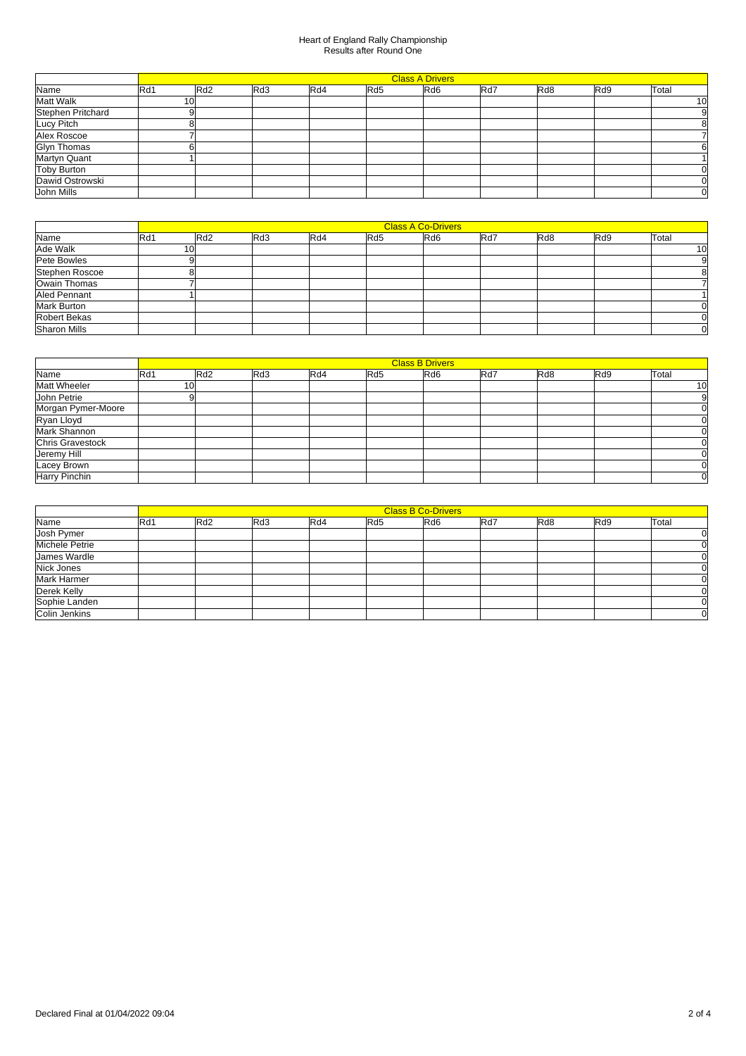|                    |                 |     |     |     |     | <b>Class A Drivers</b> |     |                  |     |                 |
|--------------------|-----------------|-----|-----|-----|-----|------------------------|-----|------------------|-----|-----------------|
| Name               | Rd1             | Rd2 | Rd3 | Rd4 | Rd5 | Rd <sub>6</sub>        | Rd7 | R <sub>d</sub> 8 | Rd9 | Total           |
| <b>Matt Walk</b>   | 10 <sup>1</sup> |     |     |     |     |                        |     |                  |     | 10 <sup>1</sup> |
| Stephen Pritchard  |                 |     |     |     |     |                        |     |                  |     | 9               |
| Lucy Pitch         |                 |     |     |     |     |                        |     |                  |     | 8               |
| Alex Roscoe        |                 |     |     |     |     |                        |     |                  |     |                 |
| Glyn Thomas        |                 |     |     |     |     |                        |     |                  |     | 6               |
| Martyn Quant       |                 |     |     |     |     |                        |     |                  |     |                 |
| <b>Toby Burton</b> |                 |     |     |     |     |                        |     |                  |     |                 |
| Dawid Ostrowski    |                 |     |     |     |     |                        |     |                  |     | 0               |
| John Mills         |                 |     |     |     |     |                        |     |                  |     | 0               |

|                    |                 |     |     |     |     | <b>Class A Co-Drivers</b> |     |     |     |       |
|--------------------|-----------------|-----|-----|-----|-----|---------------------------|-----|-----|-----|-------|
| Name               | Rd1             | Rd2 | Rd3 | Rd4 | Rd5 | Rd <sub>6</sub>           | Rd7 | Rd8 | Rd9 | Total |
| Ade Walk           | 10 <sup>1</sup> |     |     |     |     |                           |     |     |     | 10    |
| Pete Bowles        |                 |     |     |     |     |                           |     |     |     | 9     |
| Stephen Roscoe     |                 |     |     |     |     |                           |     |     |     | 81    |
| Owain Thomas       |                 |     |     |     |     |                           |     |     |     |       |
| Aled Pennant       |                 |     |     |     |     |                           |     |     |     |       |
| <b>Mark Burton</b> |                 |     |     |     |     |                           |     |     |     |       |
| Robert Bekas       |                 |     |     |     |     |                           |     |     |     |       |
| Sharon Mills       |                 |     |     |     |     |                           |     |     |     | 01    |

|                         |     |     |     |     |     | <b>Class B Drivers</b> |     |                  |                 |                |
|-------------------------|-----|-----|-----|-----|-----|------------------------|-----|------------------|-----------------|----------------|
| Name                    | Rd1 | Rd2 | Rd3 | Rd4 | Rd5 | Rd <sub>6</sub>        | Rd7 | R <sub>d</sub> 8 | R <sub>d9</sub> | Total          |
| <b>Matt Wheeler</b>     | 10  |     |     |     |     |                        |     |                  |                 | 10             |
| John Petrie             |     |     |     |     |     |                        |     |                  |                 | 9              |
| Morgan Pymer-Moore      |     |     |     |     |     |                        |     |                  |                 | 0              |
| Ryan Lloyd              |     |     |     |     |     |                        |     |                  |                 | $\Omega$       |
| <b>Mark Shannon</b>     |     |     |     |     |     |                        |     |                  |                 | 0              |
| <b>Chris Gravestock</b> |     |     |     |     |     |                        |     |                  |                 | 0              |
| Jeremy Hill             |     |     |     |     |     |                        |     |                  |                 | 0              |
| Lacey Brown             |     |     |     |     |     |                        |     |                  |                 | 0              |
| Harry Pinchin           |     |     |     |     |     |                        |     |                  |                 | $\overline{0}$ |

|                |     |     |     |     |                 | <b>Class B Co-Drivers</b> |     |                  |                  |             |
|----------------|-----|-----|-----|-----|-----------------|---------------------------|-----|------------------|------------------|-------------|
| Name           | Rd1 | Rd2 | Rd3 | Rd4 | Rd <sub>5</sub> | Rd <sub>6</sub>           | Rd7 | R <sub>d</sub> 8 | R <sub>d</sub> 9 | Total       |
| Josh Pymer     |     |     |     |     |                 |                           |     |                  |                  | 0           |
| Michele Petrie |     |     |     |     |                 |                           |     |                  |                  |             |
| James Wardle   |     |     |     |     |                 |                           |     |                  |                  | 01          |
| Nick Jones     |     |     |     |     |                 |                           |     |                  |                  | 0           |
| Mark Harmer    |     |     |     |     |                 |                           |     |                  |                  |             |
| Derek Kelly    |     |     |     |     |                 |                           |     |                  |                  | 0           |
| Sophie Landen  |     |     |     |     |                 |                           |     |                  |                  | 0           |
| Colin Jenkins  |     |     |     |     |                 |                           |     |                  |                  | $\mathbf 0$ |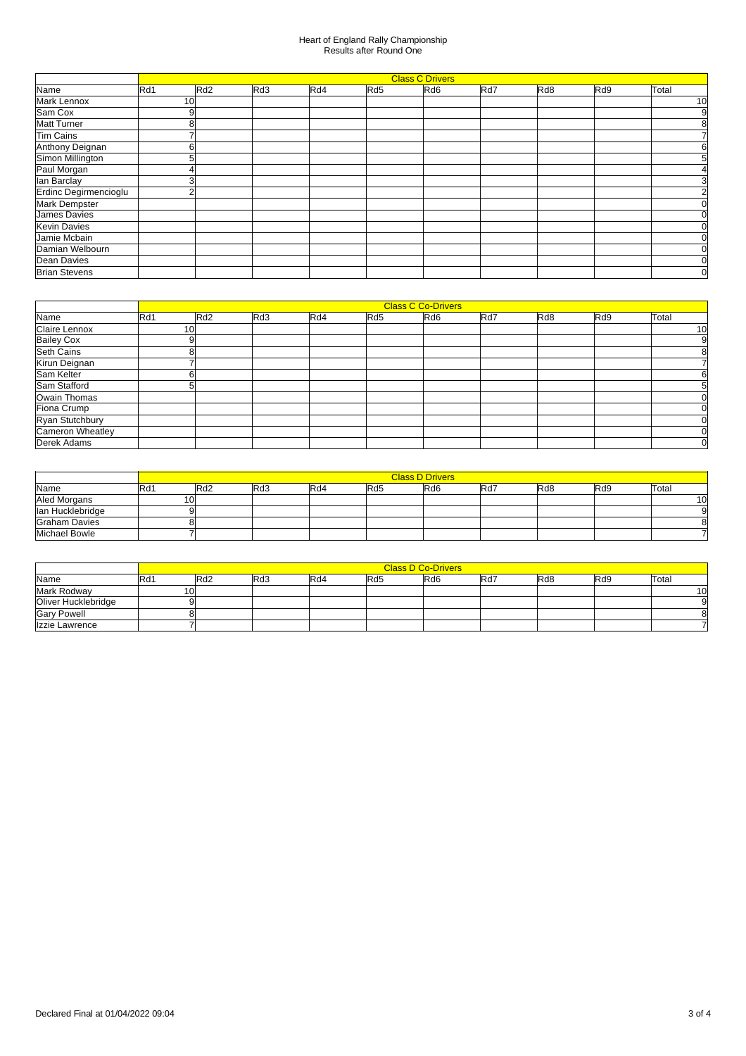|                       |                 |     |     |     |     | <b>Class C Drivers</b> |     |     |     |              |
|-----------------------|-----------------|-----|-----|-----|-----|------------------------|-----|-----|-----|--------------|
| Name                  | Rd1             | Rd2 | Rd3 | Rd4 | Rd5 | Rd <sub>6</sub>        | Rd7 | Rd8 | Rd9 | Total        |
| Mark Lennox           | 10 <sup>1</sup> |     |     |     |     |                        |     |     |     | 10           |
| Sam Cox               |                 |     |     |     |     |                        |     |     |     | 9            |
| <b>Matt Turner</b>    |                 |     |     |     |     |                        |     |     |     | 8            |
| <b>Tim Cains</b>      |                 |     |     |     |     |                        |     |     |     |              |
| Anthony Deignan       |                 |     |     |     |     |                        |     |     |     |              |
| Simon Millington      |                 |     |     |     |     |                        |     |     |     |              |
| Paul Morgan           |                 |     |     |     |     |                        |     |     |     |              |
| lan Barclay           |                 |     |     |     |     |                        |     |     |     |              |
| Erdinc Degirmencioglu |                 |     |     |     |     |                        |     |     |     |              |
| <b>Mark Dempster</b>  |                 |     |     |     |     |                        |     |     |     | <sup>0</sup> |
| <b>James Davies</b>   |                 |     |     |     |     |                        |     |     |     | $\Omega$     |
| <b>Kevin Davies</b>   |                 |     |     |     |     |                        |     |     |     |              |
| Jamie Mcbain          |                 |     |     |     |     |                        |     |     |     | 01           |
| Damian Welbourn       |                 |     |     |     |     |                        |     |     |     | <sup>0</sup> |
| Dean Davies           |                 |     |     |     |     |                        |     |     |     | <sup>0</sup> |
| <b>Brian Stevens</b>  |                 |     |     |     |     |                        |     |     |     | 0            |

|                     |     |     |     |     |                 | <b>Class C Co-Drivers</b> |     |     |     |                |
|---------------------|-----|-----|-----|-----|-----------------|---------------------------|-----|-----|-----|----------------|
| Name                | Rd1 | Rd2 | Rd3 | Rd4 | Rd <sub>5</sub> | Rd6                       | Rd7 | Rd8 | Rd9 | Total          |
| Claire Lennox       | 10  |     |     |     |                 |                           |     |     |     | 10             |
| <b>Bailey Cox</b>   |     |     |     |     |                 |                           |     |     |     | 9              |
| Seth Cains          |     |     |     |     |                 |                           |     |     |     | 8              |
| Kirun Deignan       |     |     |     |     |                 |                           |     |     |     |                |
| Sam Kelter          |     |     |     |     |                 |                           |     |     |     | 6              |
| <b>Sam Stafford</b> |     |     |     |     |                 |                           |     |     |     |                |
| Owain Thomas        |     |     |     |     |                 |                           |     |     |     | 0              |
| Fiona Crump         |     |     |     |     |                 |                           |     |     |     | 0              |
| Ryan Stutchbury     |     |     |     |     |                 |                           |     |     |     | $\Omega$       |
| Cameron Wheatley    |     |     |     |     |                 |                           |     |     |     | 0              |
| Derek Adams         |     |     |     |     |                 |                           |     |     |     | $\overline{0}$ |

|                      |     |                 |     |     |     | <b>Class D Drivers</b> |      |                  |     |           |
|----------------------|-----|-----------------|-----|-----|-----|------------------------|------|------------------|-----|-----------|
| Name                 | Rd1 | Rd <sub>2</sub> | Rd3 | Rd4 | Rd5 | Rd6                    | IRd7 | R <sub>d</sub> 8 | Rd9 | Total     |
| Aled Morgans         | 10  |                 |     |     |     |                        |      |                  |     | <b>10</b> |
| lan Hucklebridge     |     |                 |     |     |     |                        |      |                  |     |           |
| <b>Graham Davies</b> |     |                 |     |     |     |                        |      |                  |     |           |
| <b>Michael Bowle</b> |     |                 |     |     |     |                        |      |                  |     |           |

|                     |      |     |     |     |     | <b>Class D Co-Drivers</b> |      |     |     |       |
|---------------------|------|-----|-----|-----|-----|---------------------------|------|-----|-----|-------|
| Name                | 'Rd1 | Rd2 | Rd3 | Rd4 | Rd5 | Rd6                       | IRd7 | Rd8 | Rd9 | Total |
| Mark Rodway         | 10   |     |     |     |     |                           |      |     |     | 10    |
| Oliver Hucklebridge |      |     |     |     |     |                           |      |     |     |       |
| <b>Gary Powell</b>  |      |     |     |     |     |                           |      |     |     |       |
| Izzie Lawrence      |      |     |     |     |     |                           |      |     |     |       |